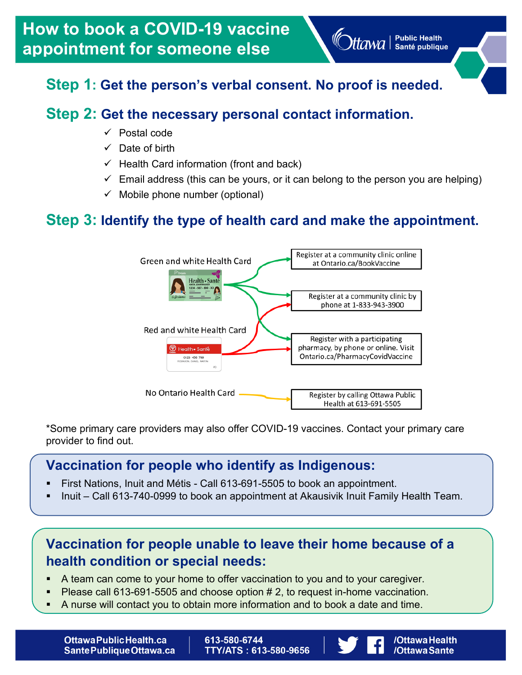/OttawaHealth

/OttawaSante

# **Step 1: Get the person's verbal consent. No proof is needed.**

# **Step 2: Get the necessary personal contact information.**

- $\checkmark$  Postal code
- $\checkmark$  Date of birth
- $\checkmark$  Health Card information (front and back)
- $\checkmark$  Email address (this can be yours, or it can belong to the person you are helping)
- $\checkmark$  Mobile phone number (optional)

## **Step 3: Identify the type of health card and make the appointment.**



\*Some primary care providers may also offer COVID-19 vaccines. Contact your primary care provider to find out.

#### **Vaccination for people who identify as Indigenous:**

- First Nations, Inuit and Métis Call 613-691-5505 to book an appointment.
- Inuit Call 613-740-0999 to book an appointment at Akausivik Inuit Family Health Team.

## **Vaccination for people unable to leave their home because of a health condition or special needs:**

- A team can come to your home to offer vaccination to you and to your caregiver.
- Please call 613-691-5505 and choose option # 2, to request in-home vaccination.
- A nurse will contact you to obtain more information and to book a date and time.

[OttawaPublicHealth.ca](http://OttawaPublicHealth.ca) | 613-580-6744<br>SantePubliqueOttawa.ca | TTY/ATS : 613

TTY/ATS: 613-580-9656